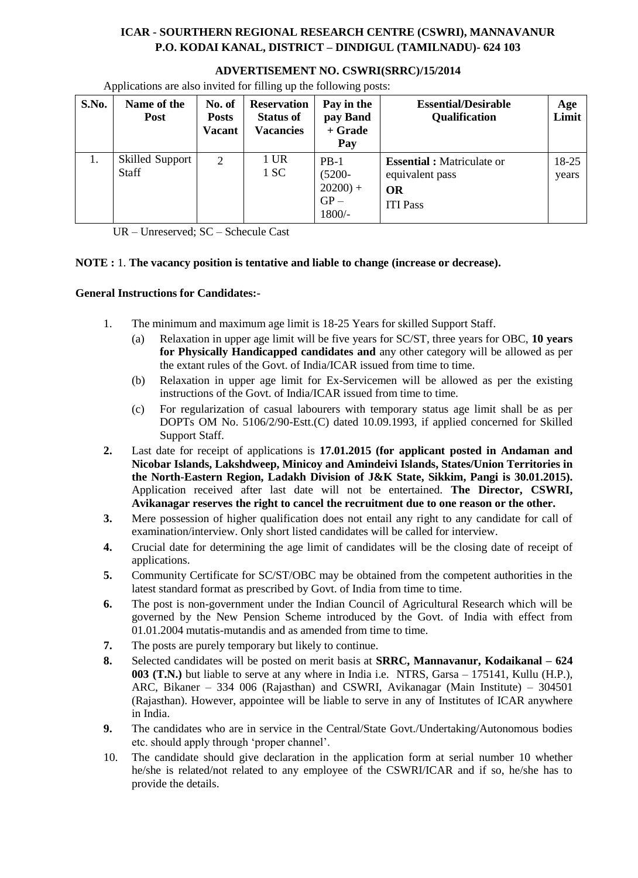## **ICAR - SOURTHERN REGIONAL RESEARCH CENTRE (CSWRI), MANNAVANUR P.O. KODAI KANAL, DISTRICT – DINDIGUL (TAMILNADU)- 624 103**

| S.No. | Name of the<br><b>Post</b> | No. of<br><b>Posts</b><br><b>Vacant</b> | <b>Reservation</b><br><b>Status of</b><br><b>Vacancies</b> | Pay in the<br>pay Band<br>$+$ Grade<br>Pay             | <b>Essential/Desirable</b><br><b>Qualification</b>                            | Age<br>Limit   |
|-------|----------------------------|-----------------------------------------|------------------------------------------------------------|--------------------------------------------------------|-------------------------------------------------------------------------------|----------------|
| 1.    | Skilled Support<br>Staff   | 2                                       | $1$ UR<br>1 SC                                             | $PB-1$<br>$(5200 -$<br>$20200$ +<br>$GP -$<br>$1800/-$ | <b>Essential : Matriculate or</b><br>equivalent pass<br>OR<br><b>ITI Pass</b> | 18-25<br>years |

**ADVERTISEMENT NO. CSWRI(SRRC)/15/2014** Applications are also invited for filling up the following posts:

UR – Unreserved; SC – Schecule Cast

### **NOTE :** 1. **The vacancy position is tentative and liable to change (increase or decrease).**

### **General Instructions for Candidates:-**

- 1. The minimum and maximum age limit is 18-25 Years for skilled Support Staff.
	- (a) Relaxation in upper age limit will be five years for SC/ST, three years for OBC, **10 years for Physically Handicapped candidates and** any other category will be allowed as per the extant rules of the Govt. of India/ICAR issued from time to time.
	- (b) Relaxation in upper age limit for Ex-Servicemen will be allowed as per the existing instructions of the Govt. of India/ICAR issued from time to time.
	- (c) For regularization of casual labourers with temporary status age limit shall be as per DOPTs OM No. 5106/2/90-Estt.(C) dated 10.09.1993, if applied concerned for Skilled Support Staff.
- **2.** Last date for receipt of applications is **17.01.2015 (for applicant posted in Andaman and Nicobar Islands, Lakshdweep, Minicoy and Amindeivi Islands, States/Union Territories in the North-Eastern Region, Ladakh Division of J&K State, Sikkim, Pangi is 30.01.2015).**  Application received after last date will not be entertained. **The Director, CSWRI, Avikanagar reserves the right to cancel the recruitment due to one reason or the other.**
- **3.** Mere possession of higher qualification does not entail any right to any candidate for call of examination/interview. Only short listed candidates will be called for interview.
- **4.** Crucial date for determining the age limit of candidates will be the closing date of receipt of applications.
- **5.** Community Certificate for SC/ST/OBC may be obtained from the competent authorities in the latest standard format as prescribed by Govt. of India from time to time.
- **6.** The post is non-government under the Indian Council of Agricultural Research which will be governed by the New Pension Scheme introduced by the Govt. of India with effect from 01.01.2004 mutatis-mutandis and as amended from time to time.
- **7.** The posts are purely temporary but likely to continue.
- **8.** Selected candidates will be posted on merit basis at **SRRC, Mannavanur, Kodaikanal – 624 003 (T.N.)** but liable to serve at any where in India i.e. NTRS, Garsa – 175141, Kullu (H.P.), ARC, Bikaner – 334 006 (Rajasthan) and CSWRI, Avikanagar (Main Institute) – 304501 (Rajasthan). However, appointee will be liable to serve in any of Institutes of ICAR anywhere in India.
- **9.** The candidates who are in service in the Central/State Govt./Undertaking/Autonomous bodies etc. should apply through 'proper channel'.
- 10. The candidate should give declaration in the application form at serial number 10 whether he/she is related/not related to any employee of the CSWRI/ICAR and if so, he/she has to provide the details.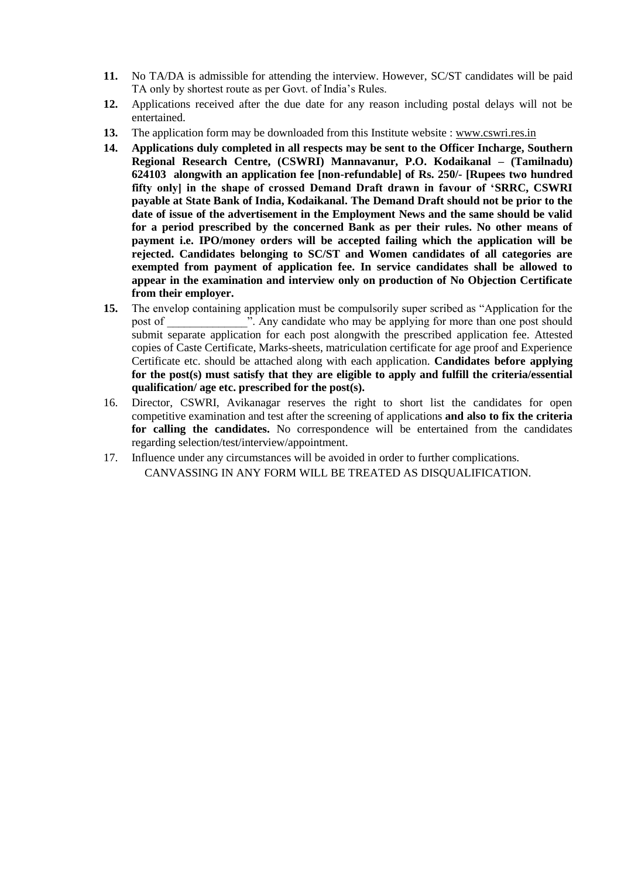- **11.** No TA/DA is admissible for attending the interview. However, SC/ST candidates will be paid TA only by shortest route as per Govt. of India's Rules.
- **12.** Applications received after the due date for any reason including postal delays will not be entertained.
- **13.** The application form may be downloaded from this Institute website : www.cswri.res.in
- **14. Applications duly completed in all respects may be sent to the Officer Incharge, Southern Regional Research Centre, (CSWRI) Mannavanur, P.O. Kodaikanal – (Tamilnadu) 624103 alongwith an application fee [non-refundable] of Rs. 250/- [Rupees two hundred fifty only] in the shape of crossed Demand Draft drawn in favour of 'SRRC, CSWRI payable at State Bank of India, Kodaikanal. The Demand Draft should not be prior to the date of issue of the advertisement in the Employment News and the same should be valid for a period prescribed by the concerned Bank as per their rules. No other means of payment i.e. IPO/money orders will be accepted failing which the application will be rejected. Candidates belonging to SC/ST and Women candidates of all categories are exempted from payment of application fee. In service candidates shall be allowed to appear in the examination and interview only on production of No Objection Certificate from their employer.**
- **15.** The envelop containing application must be compulsorily super scribed as "Application for the post of \_\_\_\_\_\_\_\_\_\_\_\_\_\_". Any candidate who may be applying for more than one post should submit separate application for each post alongwith the prescribed application fee. Attested copies of Caste Certificate, Marks-sheets, matriculation certificate for age proof and Experience Certificate etc. should be attached along with each application. **Candidates before applying for the post(s) must satisfy that they are eligible to apply and fulfill the criteria/essential qualification/ age etc. prescribed for the post(s).**
- 16. Director, CSWRI, Avikanagar reserves the right to short list the candidates for open competitive examination and test after the screening of applications **and also to fix the criteria**  for calling the candidates. No correspondence will be entertained from the candidates regarding selection/test/interview/appointment.
- 17. Influence under any circumstances will be avoided in order to further complications. CANVASSING IN ANY FORM WILL BE TREATED AS DISQUALIFICATION.